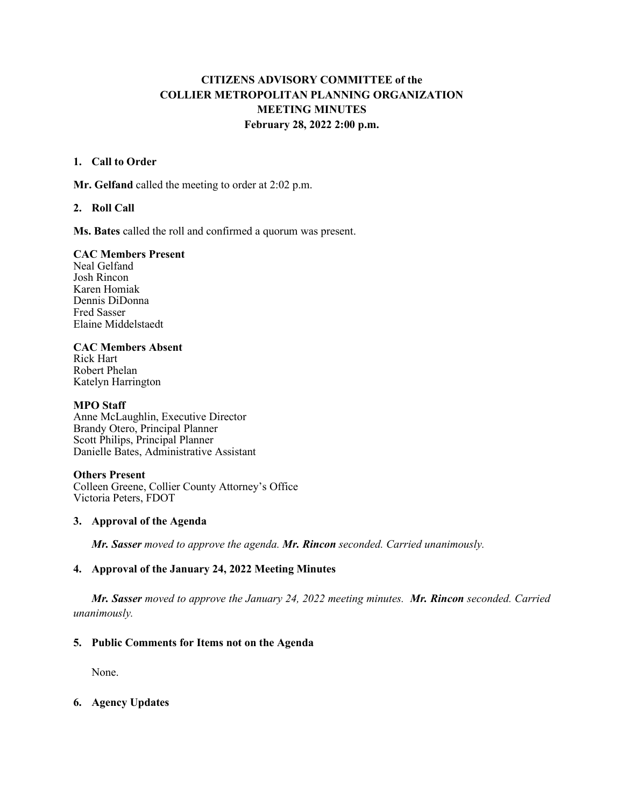# **CITIZENS ADVISORY COMMITTEE of the COLLIER METROPOLITAN PLANNING ORGANIZATION MEETING MINUTES February 28, 2022 2:00 p.m.**

### **1. Call to Order**

**Mr. Gelfand** called the meeting to order at 2:02 p.m.

# **2. Roll Call**

**Ms. Bates** called the roll and confirmed a quorum was present.

### **CAC Members Present**

Neal Gelfand Josh Rincon Karen Homiak Dennis DiDonna Fred Sasser Elaine Middelstaedt

# **CAC Members Absent**

Rick Hart Robert Phelan Katelyn Harrington

### **MPO Staff**

Anne McLaughlin, Executive Director Brandy Otero, Principal Planner Scott Philips, Principal Planner Danielle Bates, Administrative Assistant

### **Others Present**

Colleen Greene, Collier County Attorney's Office Victoria Peters, FDOT

### **3. Approval of the Agenda**

*Mr. Sasser moved to approve the agenda. Mr. Rincon seconded. Carried unanimously.*

### **4. Approval of the January 24, 2022 Meeting Minutes**

*Mr. Sasser moved to approve the January 24, 2022 meeting minutes. Mr. Rincon seconded. Carried unanimously.* 

### **5. Public Comments for Items not on the Agenda**

None.

# **6. Agency Updates**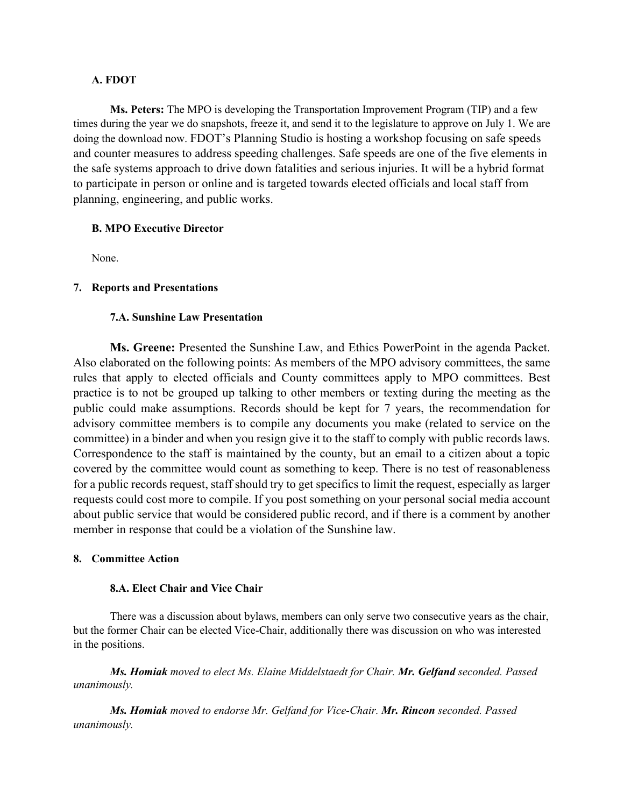### **A. FDOT**

**Ms. Peters:** The MPO is developing the Transportation Improvement Program (TIP) and a few times during the year we do snapshots, freeze it, and send it to the legislature to approve on July 1. We are doing the download now. FDOT's Planning Studio is hosting a workshop focusing on safe speeds and counter measures to address speeding challenges. Safe speeds are one of the five elements in the safe systems approach to drive down fatalities and serious injuries. It will be a hybrid format to participate in person or online and is targeted towards elected officials and local staff from planning, engineering, and public works.

### **B. MPO Executive Director**

None.

# **7. Reports and Presentations**

# **7.A. Sunshine Law Presentation**

**Ms. Greene:** Presented the Sunshine Law, and Ethics PowerPoint in the agenda Packet. Also elaborated on the following points: As members of the MPO advisory committees, the same rules that apply to elected officials and County committees apply to MPO committees. Best practice is to not be grouped up talking to other members or texting during the meeting as the public could make assumptions. Records should be kept for 7 years, the recommendation for advisory committee members is to compile any documents you make (related to service on the committee) in a binder and when you resign give it to the staff to comply with public records laws. Correspondence to the staff is maintained by the county, but an email to a citizen about a topic covered by the committee would count as something to keep. There is no test of reasonableness for a public records request, staff should try to get specifics to limit the request, especially as larger requests could cost more to compile. If you post something on your personal social media account about public service that would be considered public record, and if there is a comment by another member in response that could be a violation of the Sunshine law.

### **8. Committee Action**

### **8.A. Elect Chair and Vice Chair**

There was a discussion about bylaws, members can only serve two consecutive years as the chair, but the former Chair can be elected Vice-Chair, additionally there was discussion on who was interested in the positions.

*Ms. Homiak moved to elect Ms. Elaine Middelstaedt for Chair. Mr. Gelfand seconded. Passed unanimously.*

*Ms. Homiak moved to endorse Mr. Gelfand for Vice-Chair. Mr. Rincon seconded. Passed unanimously.*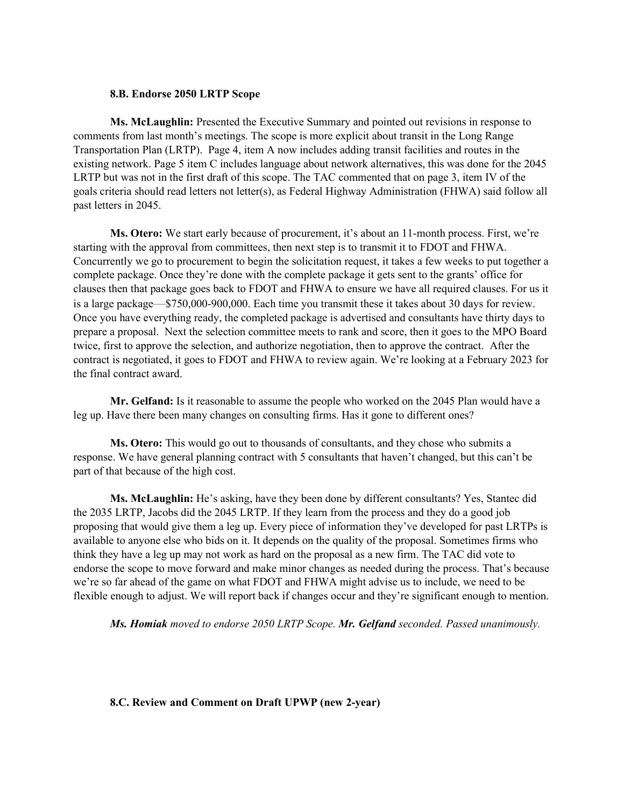#### **8.B. Endorse 2050 LRTP Scope**

**Ms. McLaughlin:** Presented the Executive Summary and pointed out revisions in response to comments from last month's meetings. The scope is more explicit about transit in the Long Range Transportation Plan (LRTP). Page 4, item A now includes adding transit facilities and routes in the existing network. Page 5 item C includes language about network alternatives, this was done for the 2045 LRTP but was not in the first draft of this scope. The TAC commented that on page 3, item IV of the goals criteria should read letters not letter(s), as Federal Highway Administration (FHWA) said follow all past letters in 2045.

**Ms. Otero:** We start early because of procurement, it's about an 11-month process. First, we're starting with the approval from committees, then next step is to transmit it to FDOT and FHWA. Concurrently we go to procurement to begin the solicitation request, it takes a few weeks to put together a complete package. Once they're done with the complete package it gets sent to the grants' office for clauses then that package goes back to FDOT and FHWA to ensure we have all required clauses. For us it is a large package—\$750,000-900,000. Each time you transmit these it takes about 30 days for review. Once you have everything ready, the completed package is advertised and consultants have thirty days to prepare a proposal. Next the selection committee meets to rank and score, then it goes to the MPO Board twice, first to approve the selection, and authorize negotiation, then to approve the contract. After the contract is negotiated, it goes to FDOT and FHWA to review again. We're looking at a February 2023 for the final contract award.

**Mr. Gelfand:** Is it reasonable to assume the people who worked on the 2045 Plan would have a leg up. Have there been many changes on consulting firms. Has it gone to different ones?

**Ms. Otero:** This would go out to thousands of consultants, and they chose who submits a response. We have general planning contract with 5 consultants that haven't changed, but this can't be part of that because of the high cost.

**Ms. McLaughlin:** He's asking, have they been done by different consultants? Yes, Stantec did the 2035 LRTP, Jacobs did the 2045 LRTP. If they learn from the process and they do a good job proposing that would give them a leg up. Every piece of information they've developed for past LRTPs is available to anyone else who bids on it. It depends on the quality of the proposal. Sometimes firms who think they have a leg up may not work as hard on the proposal as a new firm. The TAC did vote to endorse the scope to move forward and make minor changes as needed during the process. That's because we're so far ahead of the game on what FDOT and FHWA might advise us to include, we need to be flexible enough to adjust. We will report back if changes occur and they're significant enough to mention.

*Ms. Homiak moved to endorse 2050 LRTP Scope. Mr. Gelfand seconded. Passed unanimously.*

**8.C. Review and Comment on Draft UPWP (new 2-year)**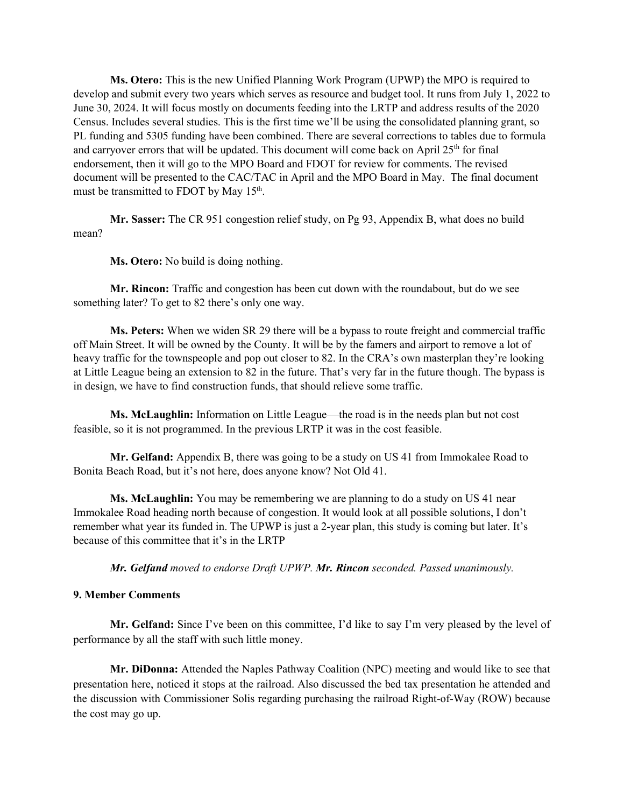**Ms. Otero:** This is the new Unified Planning Work Program (UPWP) the MPO is required to develop and submit every two years which serves as resource and budget tool. It runs from July 1, 2022 to June 30, 2024. It will focus mostly on documents feeding into the LRTP and address results of the 2020 Census. Includes several studies. This is the first time we'll be using the consolidated planning grant, so PL funding and 5305 funding have been combined. There are several corrections to tables due to formula and carryover errors that will be updated. This document will come back on April  $25<sup>th</sup>$  for final endorsement, then it will go to the MPO Board and FDOT for review for comments. The revised document will be presented to the CAC/TAC in April and the MPO Board in May. The final document must be transmitted to FDOT by May  $15<sup>th</sup>$ .

**Mr. Sasser:** The CR 951 congestion relief study, on Pg 93, Appendix B, what does no build mean?

**Ms. Otero:** No build is doing nothing.

**Mr. Rincon:** Traffic and congestion has been cut down with the roundabout, but do we see something later? To get to 82 there's only one way.

**Ms. Peters:** When we widen SR 29 there will be a bypass to route freight and commercial traffic off Main Street. It will be owned by the County. It will be by the famers and airport to remove a lot of heavy traffic for the townspeople and pop out closer to 82. In the CRA's own masterplan they're looking at Little League being an extension to 82 in the future. That's very far in the future though. The bypass is in design, we have to find construction funds, that should relieve some traffic.

**Ms. McLaughlin:** Information on Little League—the road is in the needs plan but not cost feasible, so it is not programmed. In the previous LRTP it was in the cost feasible.

**Mr. Gelfand:** Appendix B, there was going to be a study on US 41 from Immokalee Road to Bonita Beach Road, but it's not here, does anyone know? Not Old 41.

**Ms. McLaughlin:** You may be remembering we are planning to do a study on US 41 near Immokalee Road heading north because of congestion. It would look at all possible solutions, I don't remember what year its funded in. The UPWP is just a 2-year plan, this study is coming but later. It's because of this committee that it's in the LRTP

*Mr. Gelfand moved to endorse Draft UPWP. Mr. Rincon seconded. Passed unanimously.*

#### **9. Member Comments**

**Mr. Gelfand:** Since I've been on this committee, I'd like to say I'm very pleased by the level of performance by all the staff with such little money.

**Mr. DiDonna:** Attended the Naples Pathway Coalition (NPC) meeting and would like to see that presentation here, noticed it stops at the railroad. Also discussed the bed tax presentation he attended and the discussion with Commissioner Solis regarding purchasing the railroad Right-of-Way (ROW) because the cost may go up.